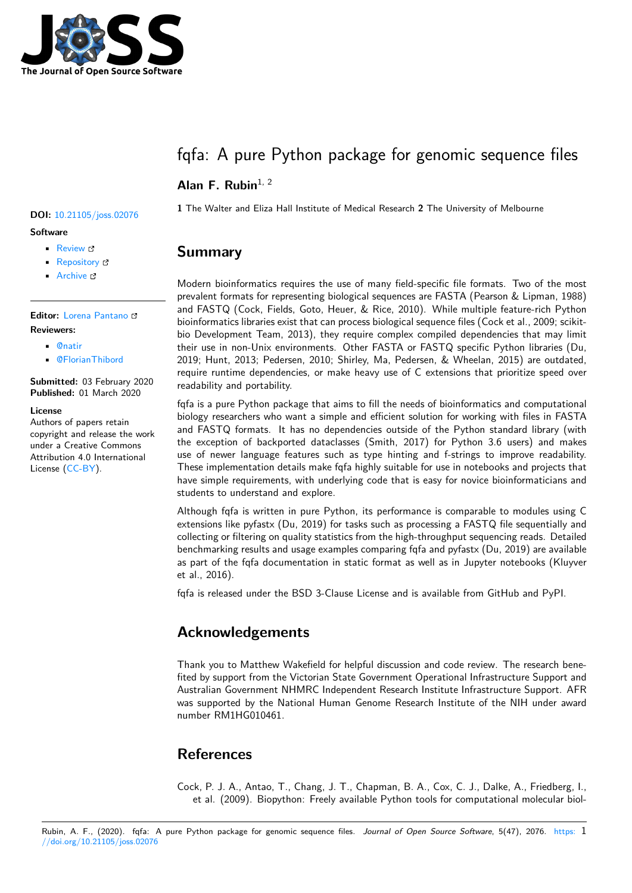

# fqfa: A pure Python package for genomic sequence files

### Alan F. Rubin<sup>1, 2</sup>

#### **Software**

- Review &
- [Repository](https://doi.org/10.21105/joss.02076) &
- Archive

### **Editor:** [Lorena P](https://github.com/CountESS-Project/fqfa/)antano **Revie[wers:](https://doi.org/10.5281/zenodo.3688838)**

- @natir
- @[FlorianThibord](https://lpantano.github.io/)

**Submitted:** 03 February 2020 **Publi[shed:](https://github.com/natir)** 01 March 2020

#### **License**

Autho[rs of papers retai](https://github.com/FlorianThibord)n copyright and release the work under a Creative Commons Attribution 4.0 International License (CC-BY).

### **<sup>1</sup>** The Walter and Eliza Hall Institute of Medical Research **<sup>2</sup>** The University of Melbourne **DOI:** 10.21105/joss.02076

### **Summary**

Modern bioinformatics requires the use of many field-specific file formats. Two of the most prevalent formats for representing biological sequences are FASTA (Pearson & Lipman, 1988) and FASTQ (Cock, Fields, Goto, Heuer, & Rice, 2010). While multiple feature-rich Python bioinformatics libraries exist that can process biological sequence files (Cock et al., 2009; scikitbio Development Team, 2013), they require complex compiled dependencies that may limit their use in non-Unix environments. Other FASTA or FASTQ specific Python libraries (Du, 2019; Hunt, 2013; Pedersen, 2010; Shirley, Ma, Pedersen, & Wheelan, 2015) are outdated, require runtime dependencies, or make heavy use of C extensions that prioritize speed over readability and portability.

fqfa is a pure Python package that aims to fill the needs of bioinformatics and computational biology researchers who want a simple and efficient solution for working with files in FASTA and FASTQ formats. It has no dependencies outside of the Python standard library (with the exception of backported dataclasses (Smith, 2017) for Python 3.6 users) and makes use of newer language features such as type hinting and f-strings to improve readability. These implementation details make fqfa highly suitable for use in notebooks and projects that have simple requirements, with underlying code that is easy for novice bioinformaticians and students to understand and explore.

Although fqfa is written in pure Python, its performance is comparable to modules using C extensions like pyfastx (Du, 2019) for tasks such as processing a FASTQ file sequentially and collecting or filtering on quality statistics from the high-throughput sequencing reads. Detailed benchmarking results and usage examples comparing fqfa and pyfastx (Du, 2019) are available as part of the fqfa documentation in static format as well as in Jupyter notebooks (Kluyver et al., 2016).

fqfa is released under the BSD 3-Clause License and is available from GitHub and PyPI.

## **Acknowledgements**

Thank you to Matthew Wakefield for helpful discussion and code review. The research benefited by support from the Victorian State Government Operational Infrastructure Support and Australian Government NHMRC Independent Research Institute Infrastructure Support. AFR was supported by the National Human Genome Research Institute of the NIH under award number RM1HG010461.

## **References**

Cock, P. J. A., Antao, T., Chang, J. T., Chapman, B. A., Cox, C. J., Dalke, A., Friedberg, I., et al. (2009). Biopython: Freely available Python tools for computational molecular biol-